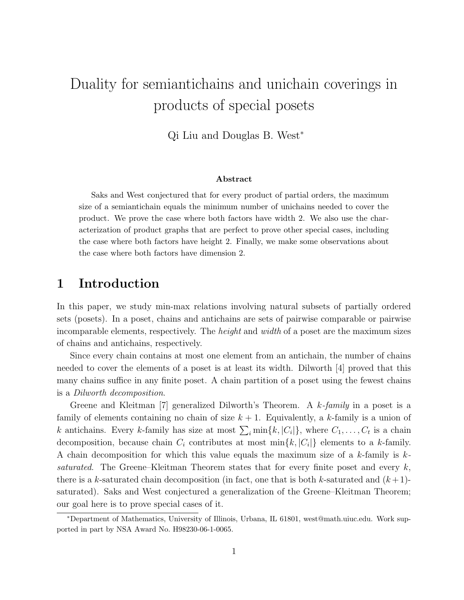# Duality for semiantichains and unichain coverings in products of special posets

Qi Liu and Douglas B. West<sup>∗</sup>

#### Abstract

Saks and West conjectured that for every product of partial orders, the maximum size of a semiantichain equals the minimum number of unichains needed to cover the product. We prove the case where both factors have width 2. We also use the characterization of product graphs that are perfect to prove other special cases, including the case where both factors have height 2. Finally, we make some observations about the case where both factors have dimension 2.

## 1 Introduction

In this paper, we study min-max relations involving natural subsets of partially ordered sets (posets). In a poset, chains and antichains are sets of pairwise comparable or pairwise incomparable elements, respectively. The height and width of a poset are the maximum sizes of chains and antichains, respectively.

Since every chain contains at most one element from an antichain, the number of chains needed to cover the elements of a poset is at least its width. Dilworth [4] proved that this many chains suffice in any finite poset. A chain partition of a poset using the fewest chains is a Dilworth decomposition.

Greene and Kleitman [7] generalized Dilworth's Theorem. A k-family in a poset is a family of elements containing no chain of size  $k + 1$ . Equivalently, a k-family is a union of k antichains. Every k-family has size at most  $\sum_i \min\{k, |C_i|\}$ , where  $C_1, \ldots, C_t$  is a chain decomposition, because chain  $C_i$  contributes at most  $\min\{k, |C_i|\}$  elements to a k-family. A chain decomposition for which this value equals the maximum size of a k-family is  $k$ saturated. The Greene–Kleitman Theorem states that for every finite poset and every  $k$ , there is a k-saturated chain decomposition (in fact, one that is both k-saturated and  $(k+1)$ saturated). Saks and West conjectured a generalization of the Greene–Kleitman Theorem; our goal here is to prove special cases of it.

<sup>∗</sup>Department of Mathematics, University of Illinois, Urbana, IL 61801, west@math.uiuc.edu. Work supported in part by NSA Award No. H98230-06-1-0065.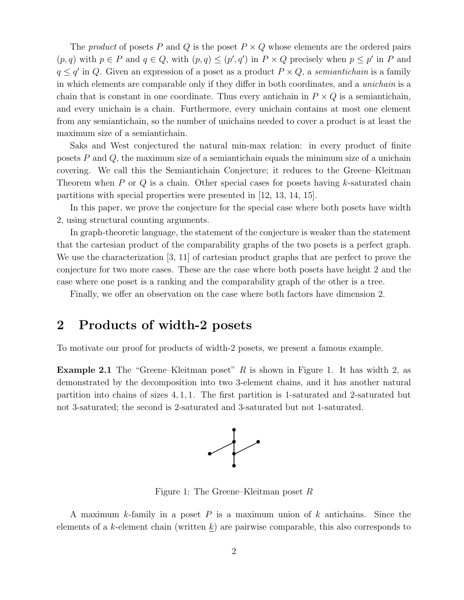The *product* of posets P and Q is the poset  $P \times Q$  whose elements are the ordered pairs  $(p,q)$  with  $p \in P$  and  $q \in Q$ , with  $(p,q) \leq (p',q')$  in  $P \times Q$  precisely when  $p \leq p'$  in P and  $q \leq q'$  in Q. Given an expression of a poset as a product  $P \times Q$ , a *semiantichain* is a family in which elements are comparable only if they differ in both coordinates, and a unichain is a chain that is constant in one coordinate. Thus every antichain in  $P \times Q$  is a semiantichain, and every unichain is a chain. Furthermore, every unichain contains at most one element from any semiantichain, so the number of unichains needed to cover a product is at least the maximum size of a semiantichain.

Saks and West conjectured the natural min-max relation: in every product of finite posets  $P$  and  $Q$ , the maximum size of a semiantichain equals the minimum size of a unichain covering. We call this the Semiantichain Conjecture; it reduces to the Greene–Kleitman Theorem when  $P$  or  $Q$  is a chain. Other special cases for posets having  $k$ -saturated chain partitions with special properties were presented in [12, 13, 14, 15].

In this paper, we prove the conjecture for the special case where both posets have width 2, using structural counting arguments.

In graph-theoretic language, the statement of the conjecture is weaker than the statement that the cartesian product of the comparability graphs of the two posets is a perfect graph. We use the characterization [3, 11] of cartesian product graphs that are perfect to prove the conjecture for two more cases. These are the case where both posets have height 2 and the case where one poset is a ranking and the comparability graph of the other is a tree.

Finally, we offer an observation on the case where both factors have dimension 2.

# 2 Products of width-2 posets

To motivate our proof for products of width-2 posets, we present a famous example.

**Example 2.1** The "Greene–Kleitman poset"  $R$  is shown in Figure 1. It has width 2, as demonstrated by the decomposition into two 3-element chains, and it has another natural partition into chains of sizes 4, 1, 1. The first partition is 1-saturated and 2-saturated but not 3-saturated; the second is 2-saturated and 3-saturated but not 1-saturated.



Figure 1: The Greene–Kleitman poset R

A maximum k-family in a poset  $P$  is a maximum union of  $k$  antichains. Since the elements of a k-element chain (written  $\underline{k}$ ) are pairwise comparable, this also corresponds to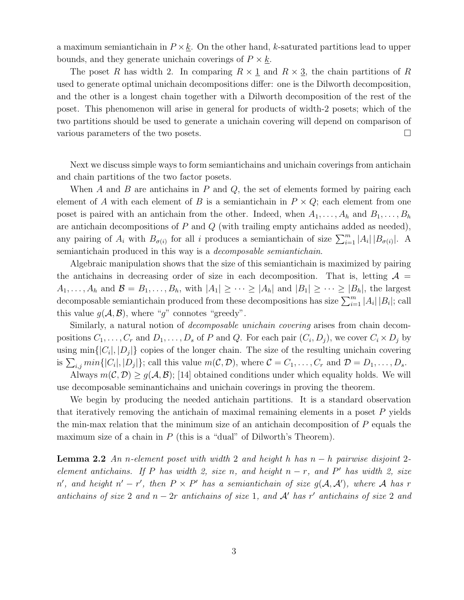a maximum semiantichain in  $P \times k$ . On the other hand, k-saturated partitions lead to upper bounds, and they generate unichain coverings of  $P \times k$ .

The poset R has width 2. In comparing  $R \times \underline{1}$  and  $R \times \underline{3}$ , the chain partitions of R used to generate optimal unichain decompositions differ: one is the Dilworth decomposition, and the other is a longest chain together with a Dilworth decomposition of the rest of the poset. This phenomenon will arise in general for products of width-2 posets; which of the two partitions should be used to generate a unichain covering will depend on comparison of various parameters of the two posets.

Next we discuss simple ways to form semiantichains and unichain coverings from antichain and chain partitions of the two factor posets.

When A and B are antichains in P and Q, the set of elements formed by pairing each element of A with each element of B is a semiantichain in  $P \times Q$ ; each element from one poset is paired with an antichain from the other. Indeed, when  $A_1, \ldots, A_h$  and  $B_1, \ldots, B_h$ are antichain decompositions of  $P$  and  $Q$  (with trailing empty antichains added as needed), any pairing of  $A_i$  with  $B_{\sigma(i)}$  for all i produces a semiantichain of size  $\sum_{i=1}^m |A_i| |B_{\sigma(i)}|$ . A semiantichain produced in this way is a decomposable semiantichain.

Algebraic manipulation shows that the size of this semiantichain is maximized by pairing the antichains in decreasing order of size in each decomposition. That is, letting  $\mathcal{A} =$  $A_1, \ldots, A_h$  and  $\mathcal{B} = B_1, \ldots, B_h$ , with  $|A_1| \geq \cdots \geq |A_h|$  and  $|B_1| \geq \cdots \geq |B_h|$ , the largest decomposable semiantichain produced from these decompositions has size  $\sum_{i=1}^{m} |A_i| |B_i|$ ; call this value  $q(\mathcal{A}, \mathcal{B})$ , where "g" connotes "greedy".

Similarly, a natural notion of decomposable unichain covering arises from chain decompositions  $C_1, \ldots, C_r$  and  $D_1, \ldots, D_s$  of P and Q. For each pair  $(C_i, D_j)$ , we cover  $C_i \times D_j$  by using  $\min\{|C_i|, |D_j|\}$  copies of the longer chain. The size of the resulting unichain covering is  $\sum_{i,j} min\{|C_i|, |D_j|\}$ ; call this value  $m(C, D)$ , where  $C = C_1, \ldots, C_r$  and  $D = D_1, \ldots, D_s$ .

Always  $m(C, D) \ge g(A, B)$ ; [14] obtained conditions under which equality holds. We will use decomposable seminantichains and unichain coverings in proving the theorem.

We begin by producing the needed antichain partitions. It is a standard observation that iteratively removing the antichain of maximal remaining elements in a poset  $P$  yields the min-max relation that the minimum size of an antichain decomposition of  $P$  equals the maximum size of a chain in  $P$  (this is a "dual" of Dilworth's Theorem).

**Lemma 2.2** An n-element poset with width 2 and height h has  $n - h$  pairwise disjoint 2element antichains. If P has width 2, size n, and height  $n - r$ , and P' has width 2, size n', and height  $n' - r'$ , then  $P \times P'$  has a semiantichain of size  $g(A, A')$ , where A has r antichains of size 2 and  $n-2r$  antichains of size 1, and A' has r' antichains of size 2 and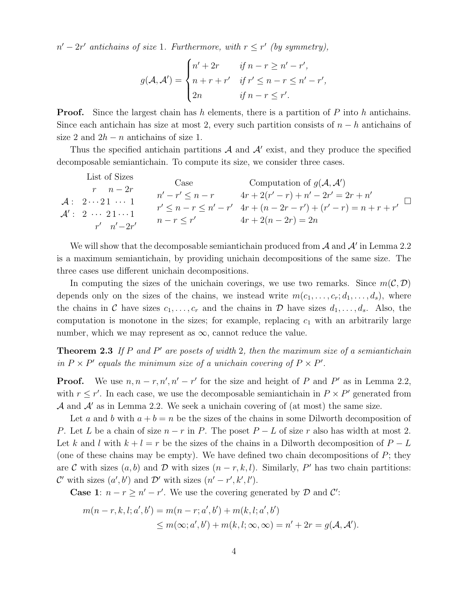$n'-2r'$  antichains of size 1. Furthermore, with  $r \leq r'$  (by symmetry),

$$
g(\mathcal{A}, \mathcal{A}') = \begin{cases} n' + 2r & \text{if } n - r \ge n' - r', \\ n + r + r' & \text{if } r' \le n - r \le n' - r', \\ 2n & \text{if } n - r \le r'. \end{cases}
$$

**Proof.** Since the largest chain has h elements, there is a partition of P into h antichains. Since each antichain has size at most 2, every such partition consists of  $n - h$  antichains of size 2 and  $2h - n$  antichains of size 1.

Thus the specified antichain partitions  $A$  and  $A'$  exist, and they produce the specified decomposable semiantichain. To compute its size, we consider three cases.

|  | List of Sizes                                                                    | Case             | Computation of $g(\mathcal{A}, \mathcal{A}')$         |
|--|----------------------------------------------------------------------------------|------------------|-------------------------------------------------------|
|  | $r \quad n-2r$                                                                   | $n'-r' \leq n-r$ | $4r + 2(r' - r) + n' - 2r' = 2r + n'$                 |
|  | $\mathcal{A}: 2 \cdots 21 \cdots 1$<br>$\mathcal{A}'$ : 2 $\cdots$ 21 $\cdots$ 1 |                  | $r' \leq n-r \leq n'-r'$ $4r+(n-2r-r')+(r'-r)=n+r+r'$ |
|  | $r'$ $n'-2r'$                                                                    | $n-r \leq r'$    | $4r + 2(n - 2r) = 2n$                                 |

We will show that the decomposable semiantichain produced from  $A$  and  $A'$  in Lemma 2.2 is a maximum semiantichain, by providing unichain decompositions of the same size. The three cases use different unichain decompositions.

In computing the sizes of the unichain coverings, we use two remarks. Since  $m(\mathcal{C}, \mathcal{D})$ depends only on the sizes of the chains, we instead write  $m(c_1, \ldots, c_r; d_1, \ldots, d_s)$ , where the chains in C have sizes  $c_1, \ldots, c_r$  and the chains in D have sizes  $d_1, \ldots, d_s$ . Also, the computation is monotone in the sizes; for example, replacing  $c_1$  with an arbitrarily large number, which we may represent as  $\infty$ , cannot reduce the value.

**Theorem 2.3** If P and P' are posets of width 2, then the maximum size of a semiantichain in  $P \times P'$  equals the minimum size of a unichain covering of  $P \times P'$ .

**Proof.** We use  $n, n - r, n', n' - r'$  for the size and height of P and P' as in Lemma 2.2, with  $r \leq r'$ . In each case, we use the decomposable semiantichain in  $P \times P'$  generated from A and  $A'$  as in Lemma 2.2. We seek a unichain covering of (at most) the same size.

Let a and b with  $a + b = n$  be the sizes of the chains in some Dilworth decomposition of P. Let L be a chain of size  $n - r$  in P. The poset  $P - L$  of size r also has width at most 2. Let k and l with  $k + l = r$  be the sizes of the chains in a Dilworth decomposition of  $P - L$ (one of these chains may be empty). We have defined two chain decompositions of  $P$ ; they are C with sizes  $(a, b)$  and D with sizes  $(n - r, k, l)$ . Similarly, P' has two chain partitions: C' with sizes  $(a', b')$  and D' with sizes  $(n' - r', k', l')$ .

**Case 1**:  $n - r \ge n' - r'$ . We use the covering generated by  $\mathcal{D}$  and  $\mathcal{C}'$ :

$$
m(n-r, k, l; a', b') = m(n-r; a', b') + m(k, l; a', b')
$$
  
\n
$$
\leq m(\infty; a', b') + m(k, l; \infty, \infty) = n' + 2r = g(\mathcal{A}, \mathcal{A}').
$$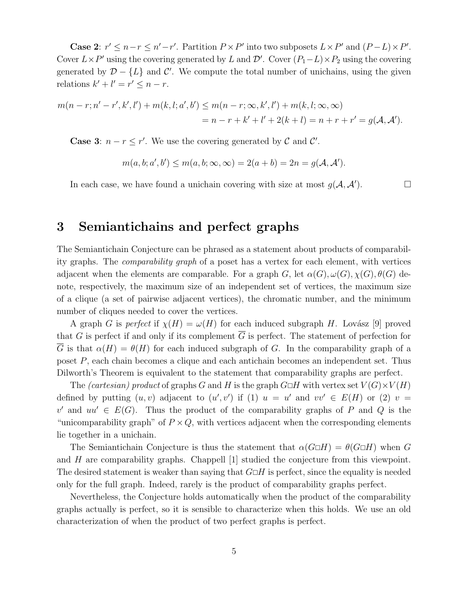Case 2:  $r' \leq n-r \leq n'-r'$ . Partition  $P \times P'$  into two subposets  $L \times P'$  and  $(P-L) \times P'$ . Cover  $L \times P'$  using the covering generated by L and D'. Cover  $(P_1 - L) \times P_2$  using the covering generated by  $\mathcal{D} - \{L\}$  and  $\mathcal{C}'$ . We compute the total number of unichains, using the given relations  $k' + l' = r' \leq n - r$ .

$$
m(n-r; n'-r', k', l') + m(k, l; a', b') \le m(n-r; \infty, k', l') + m(k, l; \infty, \infty)
$$
  
=  $n-r+k'+l'+2(k+l) = n+r+r' = g(A, A').$ 

**Case 3:**  $n - r \leq r'$ . We use the covering generated by  $\mathcal{C}$  and  $\mathcal{C}'$ .

$$
m(a, b; a', b') \le m(a, b; \infty, \infty) = 2(a + b) = 2n = g(A, A').
$$

In each case, we have found a unichain covering with size at most  $g(\mathcal{A}, \mathcal{A}')$ .  $\Box$ 

#### 3 Semiantichains and perfect graphs

The Semiantichain Conjecture can be phrased as a statement about products of comparability graphs. The comparability graph of a poset has a vertex for each element, with vertices adjacent when the elements are comparable. For a graph G, let  $\alpha(G), \omega(G), \chi(G), \theta(G)$  denote, respectively, the maximum size of an independent set of vertices, the maximum size of a clique (a set of pairwise adjacent vertices), the chromatic number, and the minimum number of cliques needed to cover the vertices.

A graph G is perfect if  $\chi(H) = \omega(H)$  for each induced subgraph H. Lovász [9] proved that G is perfect if and only if its complement  $\overline{G}$  is perfect. The statement of perfection for G is that  $\alpha(H) = \theta(H)$  for each induced subgraph of G. In the comparability graph of a poset P, each chain becomes a clique and each antichain becomes an independent set. Thus Dilworth's Theorem is equivalent to the statement that comparability graphs are perfect.

The *(cartesian)* product of graphs G and H is the graph  $G \Box H$  with vertex set  $V(G) \times V(H)$ defined by putting  $(u, v)$  adjacent to  $(u', v')$  if (1)  $u = u'$  and  $vv' \in E(H)$  or (2)  $v =$ v' and  $uu' \in E(G)$ . Thus the product of the comparability graphs of P and Q is the "unicomparability graph" of  $P \times Q$ , with vertices adjacent when the corresponding elements lie together in a unichain.

The Semiantichain Conjecture is thus the statement that  $\alpha(G \Box H) = \theta(G \Box H)$  when G and H are comparability graphs. Chappell [1] studied the conjecture from this viewpoint. The desired statement is weaker than saying that  $G \Box H$  is perfect, since the equality is needed only for the full graph. Indeed, rarely is the product of comparability graphs perfect.

Nevertheless, the Conjecture holds automatically when the product of the comparability graphs actually is perfect, so it is sensible to characterize when this holds. We use an old characterization of when the product of two perfect graphs is perfect.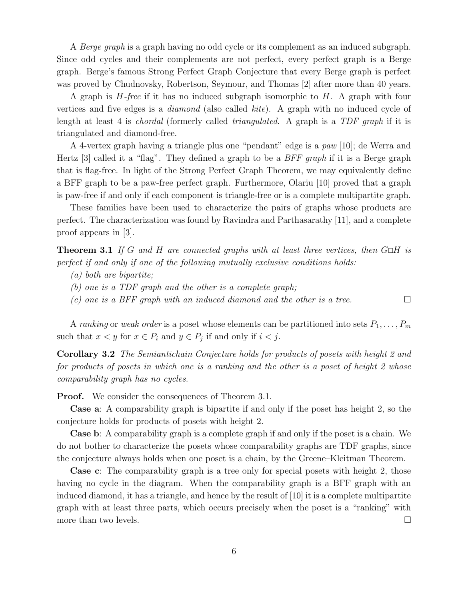A Berge graph is a graph having no odd cycle or its complement as an induced subgraph. Since odd cycles and their complements are not perfect, every perfect graph is a Berge graph. Berge's famous Strong Perfect Graph Conjecture that every Berge graph is perfect was proved by Chudnovsky, Robertson, Seymour, and Thomas [2] after more than 40 years.

A graph is  $H$ -free if it has no induced subgraph isomorphic to  $H$ . A graph with four vertices and five edges is a diamond (also called kite). A graph with no induced cycle of length at least 4 is chordal (formerly called triangulated. A graph is a TDF graph if it is triangulated and diamond-free.

A 4-vertex graph having a triangle plus one "pendant" edge is a paw [10]; de Werra and Hertz [3] called it a "flag". They defined a graph to be a BFF graph if it is a Berge graph that is flag-free. In light of the Strong Perfect Graph Theorem, we may equivalently define a BFF graph to be a paw-free perfect graph. Furthermore, Olariu [10] proved that a graph is paw-free if and only if each component is triangle-free or is a complete multipartite graph.

These families have been used to characterize the pairs of graphs whose products are perfect. The characterization was found by Ravindra and Parthasarathy [11], and a complete proof appears in [3].

**Theorem 3.1** If G and H are connected graphs with at least three vertices, then  $G \Box H$  is perfect if and only if one of the following mutually exclusive conditions holds:

- (a) both are bipartite;
- (b) one is a TDF graph and the other is a complete graph;
- (c) one is a BFF graph with an induced diamond and the other is a tree.  $\Box$

A ranking or weak order is a poset whose elements can be partitioned into sets  $P_1, \ldots, P_m$ such that  $x < y$  for  $x \in P_i$  and  $y \in P_j$  if and only if  $i < j$ .

Corollary 3.2 The Semiantichain Conjecture holds for products of posets with height 2 and for products of posets in which one is a ranking and the other is a poset of height 2 whose comparability graph has no cycles.

**Proof.** We consider the consequences of Theorem 3.1.

Case a: A comparability graph is bipartite if and only if the poset has height 2, so the conjecture holds for products of posets with height 2.

Case b: A comparability graph is a complete graph if and only if the poset is a chain. We do not bother to characterize the posets whose comparability graphs are TDF graphs, since the conjecture always holds when one poset is a chain, by the Greene–Kleitman Theorem.

Case c: The comparability graph is a tree only for special posets with height 2, those having no cycle in the diagram. When the comparability graph is a BFF graph with an induced diamond, it has a triangle, and hence by the result of [10] it is a complete multipartite graph with at least three parts, which occurs precisely when the poset is a "ranking" with more than two levels.  $\Box$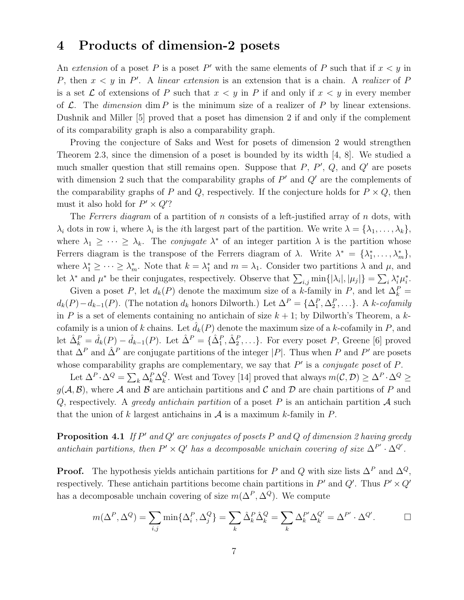#### 4 Products of dimension-2 posets

An extension of a poset P is a poset P' with the same elements of P such that if  $x < y$  in P, then  $x < y$  in P'. A linear extension is an extension that is a chain. A realizer of P is a set  $\mathcal L$  of extensions of P such that  $x < y$  in P if and only if  $x < y$  in every member of  $\mathcal{L}$ . The dimension dim P is the minimum size of a realizer of P by linear extensions. Dushnik and Miller [5] proved that a poset has dimension 2 if and only if the complement of its comparability graph is also a comparability graph.

Proving the conjecture of Saks and West for posets of dimension 2 would strengthen Theorem 2.3, since the dimension of a poset is bounded by its width [4, 8]. We studied a much smaller question that still remains open. Suppose that  $P$ ,  $P'$ ,  $Q$ , and  $Q'$  are posets with dimension 2 such that the comparability graphs of  $P'$  and  $Q'$  are the complements of the comparability graphs of P and Q, respectively. If the conjecture holds for  $P \times Q$ , then must it also hold for  $P' \times Q'$ ?

The Ferrers diagram of a partition of n consists of a left-justified array of n dots, with  $\lambda_i$  dots in row i, where  $\lambda_i$  is the *i*th largest part of the partition. We write  $\lambda = {\lambda_1, \ldots, \lambda_k}$ , where  $\lambda_1 \geq \cdots \geq \lambda_k$ . The *conjugate*  $\lambda^*$  of an integer partition  $\lambda$  is the partition whose Ferrers diagram is the transpose of the Ferrers diagram of  $\lambda$ . Write  $\lambda^* = {\lambda_1^*}$  $\lambda_1^*,\ldots,\lambda_m^*\},\$ where  $\lambda_1^* \geq \cdots \geq \lambda_m^*$ . Note that  $k = \lambda_1^*$  $\lambda_1^*$  and  $m = \lambda_1$ . Consider two partitions  $\lambda$  and  $\mu$ , and let  $\lambda^*$  and  $\mu^*$  be their conjugates, respectively. Observe that  $\sum_{i,j} \min\{|\lambda_i|, |\mu_j|\} = \sum_i \lambda_i^* \mu_i^*$  $\frac{i}{i}$ .

Given a poset P, let  $d_k(P)$  denote the maximum size of a k-family in P, and let  $\Delta_k^P =$  $d_k(P) - d_{k-1}(P)$ . (The notation  $d_k$  honors Dilworth.) Let  $\Delta^P = {\{\Delta_1^P, \Delta_2^P, \ldots\}}$ . A k-cofamily in P is a set of elements containing no antichain of size  $k + 1$ ; by Dilworth's Theorem, a kcofamily is a union of k chains. Let  $\hat{d}_k(P)$  denote the maximum size of a k-cofamily in P, and let  $\hat{\Delta}_k^P = \hat{d}_k(P) - \hat{d}_{k-1}(P)$ . Let  $\hat{\Delta}^P = {\hat{\Delta}_1^P, \hat{\Delta}_2^P, \ldots}$ . For every poset P, Greene [6] proved that  $\Delta^P$  and  $\hat{\Delta}^P$  are conjugate partitions of the integer |P|. Thus when P and P' are posets whose comparability graphs are complementary, we say that  $P'$  is a *conjugate poset* of  $P$ .

Let  $\Delta^P \cdot \Delta^Q = \sum_k \Delta^P_k \Delta^Q_k$  $_{k}^{Q}$ . West and Tovey [14] proved that always  $m(C, D) \geq Δ^{P} \cdot Δ^{Q} \geq$  $g(\mathcal{A}, \mathcal{B})$ , where  $\mathcal A$  and  $\mathcal B$  are antichain partitions and  $\mathcal C$  and  $\mathcal D$  are chain partitions of P and Q, respectively. A greedy antichain partition of a poset P is an antichain partition  $\mathcal A$  such that the union of k largest antichains in  $A$  is a maximum k-family in  $P$ .

**Proposition 4.1** If  $P'$  and  $Q'$  are conjugates of posets  $P$  and  $Q$  of dimension 2 having greedy antichain partitions, then  $P' \times Q'$  has a decomposable unichain covering of size  $\Delta^{P'} \cdot \Delta^{Q'}$ .

**Proof.** The hypothesis yields antichain partitions for P and Q with size lists  $\Delta^P$  and  $\Delta^Q$ , respectively. These antichain partitions become chain partitions in  $P'$  and  $Q'$ . Thus  $P' \times Q'$ has a decomposable unchain covering of size  $m(\Delta^P, \Delta^Q)$ . We compute

$$
m(\Delta^P, \Delta^Q) = \sum_{i,j} \min{\{\Delta_i^P, \Delta_j^Q\}} = \sum_k \hat{\Delta}_k^P \hat{\Delta}_k^Q = \sum_k \Delta_k^{P'} \Delta_k^{Q'} = \Delta^{P'} \cdot \Delta^{Q'}.
$$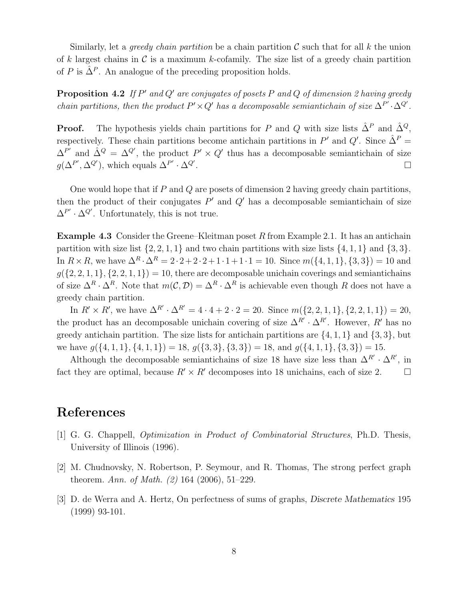Similarly, let a *greedy chain partition* be a chain partition  $\mathcal C$  such that for all k the union of k largest chains in  $\mathcal C$  is a maximum k-cofamily. The size list of a greedy chain partition of P is  $\hat{\Delta}^P$ . An analogue of the preceding proposition holds.

**Proposition 4.2** If  $P'$  and  $Q'$  are conjugates of posets  $P$  and  $Q$  of dimension 2 having greedy chain partitions, then the product  $P' \times Q'$  has a decomposable semiantichain of size  $\Delta^{P'} \cdot \Delta^{Q'}$ .

**Proof.** The hypothesis yields chain partitions for P and Q with size lists  $\hat{\Delta}^P$  and  $\hat{\Delta}^Q$ , respectively. These chain partitions become antichain partitions in  $P'$  and  $Q'$ . Since  $\hat{\Delta}^P$  =  $\Delta^{P'}$  and  $\hat{\Delta}^{Q} = \Delta^{Q'}$ , the product  $P' \times Q'$  thus has a decomposable semiantichain of size  $g(\Delta^{P'}, \Delta^{Q'}),$  which equals  $\Delta^{P'} \cdot \Delta^{Q'}$ .

One would hope that if  $P$  and  $Q$  are posets of dimension 2 having greedy chain partitions, then the product of their conjugates  $P'$  and  $Q'$  has a decomposable semiantichain of size  $\Delta^{P'} \cdot \Delta^{Q'}$ . Unfortunately, this is not true.

Example 4.3 Consider the Greene–Kleitman poset R from Example 2.1. It has an antichain partition with size list  $\{2, 2, 1, 1\}$  and two chain partitions with size lists  $\{4, 1, 1\}$  and  $\{3, 3\}$ . In  $R \times R$ , we have  $\Delta^R \cdot \Delta^R = 2 \cdot 2 + 2 \cdot 2 + 1 \cdot 1 + 1 \cdot 1 = 10$ . Since  $m(\{4, 1, 1\}, \{3, 3\}) = 10$  and  $g({2, 2, 1, 1}, {2, 2, 1, 1}) = 10$ , there are decomposable unichain coverings and semiantichains of size  $\Delta^R \cdot \Delta^R$ . Note that  $m(C, \mathcal{D}) = \Delta^R \cdot \Delta^R$  is achievable even though R does not have a greedy chain partition.

In  $R' \times R'$ , we have  $\Delta^{R'} \cdot \Delta^{R'} = 4 \cdot 4 + 2 \cdot 2 = 20$ . Since  $m(\{2, 2, 1, 1\}, \{2, 2, 1, 1\}) = 20$ , the product has an decomposable unichain covering of size  $\Delta^{R'} \cdot \Delta^{R'}$ . However, R' has no greedy antichain partition. The size lists for antichain partitions are  $\{4, 1, 1\}$  and  $\{3, 3\}$ , but we have  $q(\{4, 1, 1\}, \{4, 1, 1\}) = 18$ ,  $q(\{3, 3\}, \{3, 3\}) = 18$ , and  $q(\{4, 1, 1\}, \{3, 3\}) = 15$ .

Although the decomposable semiantichains of size 18 have size less than  $\Delta^{R'} \cdot \Delta^{R'}$ , in fact they are optimal, because  $R' \times R'$  decomposes into 18 unichains, each of size 2.

## References

- [1] G. G. Chappell, Optimization in Product of Combinatorial Structures, Ph.D. Thesis, University of Illinois (1996).
- [2] M. Chudnovsky, N. Robertson, P. Seymour, and R. Thomas, The strong perfect graph theorem. Ann. of Math. (2) 164 (2006), 51–229.
- [3] D. de Werra and A. Hertz, On perfectness of sums of graphs, Discrete Mathematics 195 (1999) 93-101.